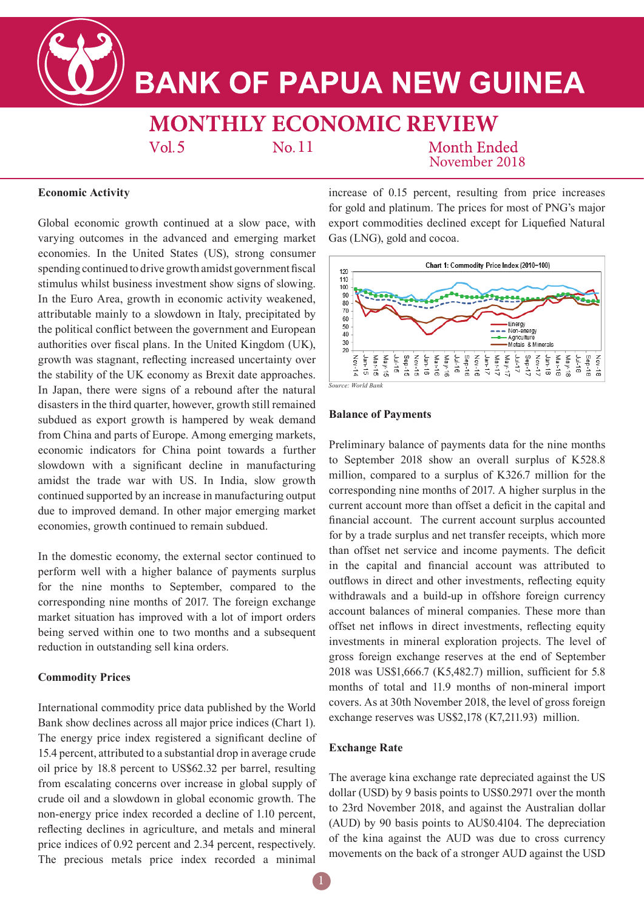# **BANK OF PAPUA NEW GUINEA**

### **MONTHLY ECONOMIC REVIEW**  $Vol.5$ No. 11

## **Month Ended** November 2018

### **Economic Activity**

Global economic growth continued at a slow pace, with varying outcomes in the advanced and emerging market economies. In the United States (US), strong consumer spending continued to drive growth amidst government fiscal stimulus whilst business investment show signs of slowing. In the Euro Area, growth in economic activity weakened, attributable mainly to a slowdown in Italy, precipitated by the political conflict between the government and European authorities over fiscal plans. In the United Kingdom (UK), growth was stagnant, reflecting increased uncertainty over the stability of the UK economy as Brexit date approaches. In Japan, there were signs of a rebound after the natural disasters in the third quarter, however, growth still remained subdued as export growth is hampered by weak demand from China and parts of Europe. Among emerging markets, economic indicators for China point towards a further slowdown with a significant decline in manufacturing amidst the trade war with US. In India, slow growth continued supported by an increase in manufacturing output due to improved demand. In other major emerging market economies, growth continued to remain subdued.

In the domestic economy, the external sector continued to perform well with a higher balance of payments surplus for the nine months to September, compared to the corresponding nine months of 2017. The foreign exchange market situation has improved with a lot of import orders being served within one to two months and a subsequent reduction in outstanding sell kina orders.

### **Commodity Prices**

International commodity price data published by the World Bank show declines across all major price indices (Chart 1). The energy price index registered a significant decline of 15.4 percent, attributed to a substantial drop in average crude oil price by 18.8 percent to US\$62.32 per barrel, resulting from escalating concerns over increase in global supply of crude oil and a slowdown in global economic growth. The non-energy price index recorded a decline of 1.10 percent, reflecting declines in agriculture, and metals and mineral price indices of 0.92 percent and 2.34 percent, respectively. The precious metals price index recorded a minimal

increase of 0.15 percent, resulting from price increases for gold and platinum. The prices for most of PNG's major export commodities declined except for Liquefied Natural Gas (LNG), gold and cocoa.



*Source: World Bank*

### **Balance of Payments**

Preliminary balance of payments data for the nine months to September 2018 show an overall surplus of K528.8 million, compared to a surplus of K326.7 million for the corresponding nine months of 2017. A higher surplus in the current account more than offset a deficit in the capital and financial account. The current account surplus accounted for by a trade surplus and net transfer receipts, which more than offset net service and income payments. The deficit in the capital and financial account was attributed to outflows in direct and other investments, reflecting equity withdrawals and a build-up in offshore foreign currency account balances of mineral companies. These more than offset net inflows in direct investments, reflecting equity investments in mineral exploration projects. The level of gross foreign exchange reserves at the end of September 2018 was US\$1,666.7 (K5,482.7) million, sufficient for 5.8 months of total and 11.9 months of non-mineral import covers. As at 30th November 2018, the level of gross foreign exchange reserves was US\$2,178 (K7,211.93) million.

### **Exchange Rate**

The average kina exchange rate depreciated against the US dollar (USD) by 9 basis points to US\$0.2971 over the month to 23rd November 2018, and against the Australian dollar (AUD) by 90 basis points to AU\$0.4104. The depreciation of the kina against the AUD was due to cross currency movements on the back of a stronger AUD against the USD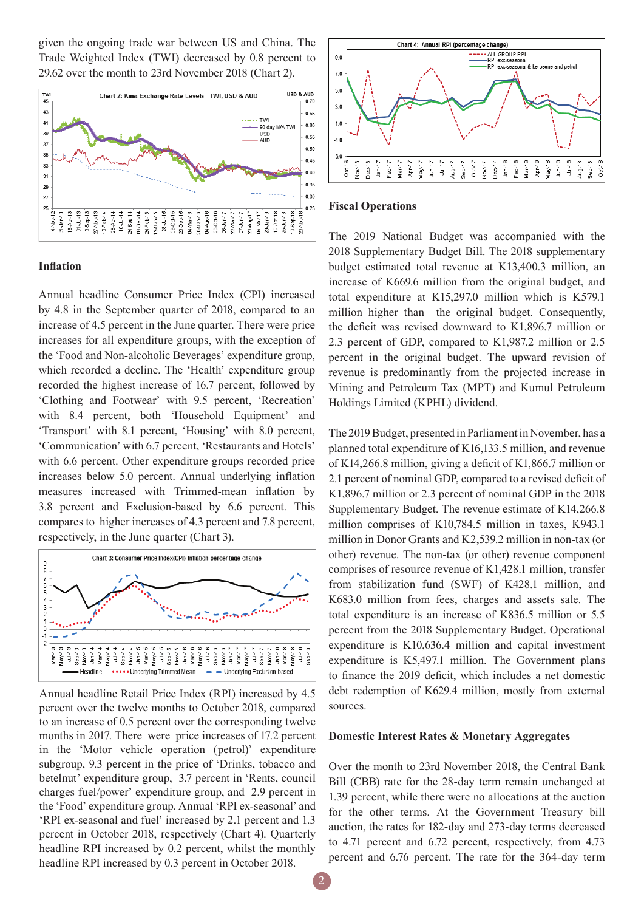given the ongoing trade war between US and China. The Trade Weighted Index (TWI) decreased by 0.8 percent to 29.62 over the month to 23rd November 2018 (Chart 2).



#### Chart 4: Annual RPI (percentage change) ALL GROUP RP  $90$ ene and petrol  $7.0$  $5.0$  $30$  $1.0$  $-1.0$  $-3.0$ Nov-16 Dec-16  $An-17$  $F$ eb-17  $Mar-17$ Aug-17 Sep- $17$  $Oct-17$ Nov-17 Dec-17  $Am-18$ Feb-18  $Mar-18$ May-18 Sep-18  $Oct-16$ Apr-17  $May-17$  $\frac{17}{4}$  $rac{1}{2}$ Apr-18 **Jun-18**  $\frac{8}{7}$ Aug-18 J<br>Oct-1

### **Fiscal Operations**

### **Inflation**

Annual headline Consumer Price Index (CPI) increased by 4.8 in the September quarter of 2018, compared to an increase of 4.5 percent in the June quarter. There were price increases for all expenditure groups, with the exception of the 'Food and Non-alcoholic Beverages' expenditure group, which recorded a decline. The 'Health' expenditure group recorded the highest increase of 16.7 percent, followed by 'Clothing and Footwear' with 9.5 percent, 'Recreation' with 8.4 percent, both 'Household Equipment' and 'Transport' with 8.1 percent, 'Housing' with 8.0 percent, 'Communication' with 6.7 percent, 'Restaurants and Hotels' with 6.6 percent. Other expenditure groups recorded price increases below 5.0 percent. Annual underlying inflation measures increased with Trimmed-mean inflation by 3.8 percent and Exclusion-based by 6.6 percent. This compares to higher increases of 4.3 percent and 7.8 percent, respectively, in the June quarter (Chart 3).



Annual headline Retail Price Index (RPI) increased by 4.5 percent over the twelve months to October 2018, compared to an increase of 0.5 percent over the corresponding twelve months in 2017. There were price increases of 17.2 percent in the 'Motor vehicle operation (petrol)' expenditure subgroup, 9.3 percent in the price of 'Drinks, tobacco and betelnut' expenditure group, 3.7 percent in 'Rents, council charges fuel/power' expenditure group, and 2.9 percent in the 'Food' expenditure group. Annual 'RPI ex-seasonal' and 'RPI ex-seasonal and fuel' increased by 2.1 percent and 1.3 percent in October 2018, respectively (Chart 4). Quarterly headline RPI increased by 0.2 percent, whilst the monthly headline RPI increased by 0.3 percent in October 2018.

The 2019 National Budget was accompanied with the 2018 Supplementary Budget Bill. The 2018 supplementary budget estimated total revenue at K13,400.3 million, an increase of K669.6 million from the original budget, and total expenditure at K15,297.0 million which is K579.1 million higher than the original budget. Consequently, the deficit was revised downward to K1,896.7 million or 2.3 percent of GDP, compared to K1,987.2 million or 2.5 percent in the original budget. The upward revision of revenue is predominantly from the projected increase in Mining and Petroleum Tax (MPT) and Kumul Petroleum Holdings Limited (KPHL) dividend.

The 2019 Budget, presented in Parliament in November, has a planned total expenditure of K16,133.5 million, and revenue of K14,266.8 million, giving a deficit of K1,866.7 million or 2.1 percent of nominal GDP, compared to a revised deficit of K1,896.7 million or 2.3 percent of nominal GDP in the 2018 Supplementary Budget. The revenue estimate of K14,266.8 million comprises of K10,784.5 million in taxes, K943.1 million in Donor Grants and K2,539.2 million in non-tax (or other) revenue. The non-tax (or other) revenue component comprises of resource revenue of K1,428.1 million, transfer from stabilization fund (SWF) of K428.1 million, and K683.0 million from fees, charges and assets sale. The total expenditure is an increase of K836.5 million or 5.5 percent from the 2018 Supplementary Budget. Operational expenditure is K10,636.4 million and capital investment expenditure is K5,497.1 million. The Government plans to finance the 2019 deficit, which includes a net domestic debt redemption of K629.4 million, mostly from external sources.

### **Domestic Interest Rates & Monetary Aggregates**

Over the month to 23rd November 2018, the Central Bank Bill (CBB) rate for the 28-day term remain unchanged at 1.39 percent, while there were no allocations at the auction for the other terms. At the Government Treasury bill auction, the rates for 182-day and 273-day terms decreased to 4.71 percent and 6.72 percent, respectively, from 4.73 percent and 6.76 percent. The rate for the 364-day term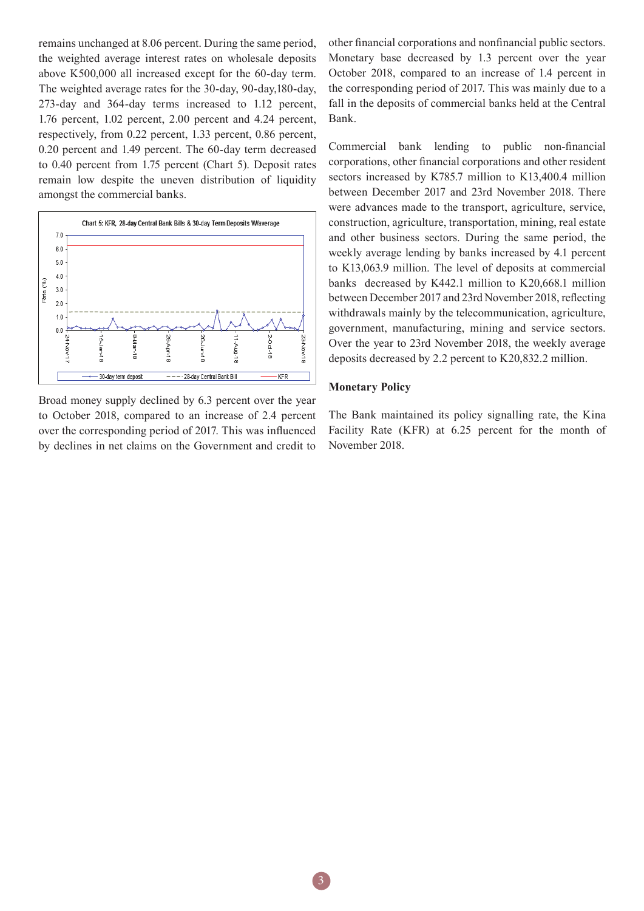remains unchanged at 8.06 percent. During the same period, the weighted average interest rates on wholesale deposits above K500,000 all increased except for the 60-day term. The weighted average rates for the 30-day, 90-day,180-day, 273-day and 364-day terms increased to 1.12 percent, 1.76 percent, 1.02 percent, 2.00 percent and 4.24 percent, respectively, from 0.22 percent, 1.33 percent, 0.86 percent, 0.20 percent and 1.49 percent. The 60-day term decreased to 0.40 percent from 1.75 percent (Chart 5). Deposit rates remain low despite the uneven distribution of liquidity amongst the commercial banks.



Broad money supply declined by 6.3 percent over the year to October 2018, compared to an increase of 2.4 percent over the corresponding period of 2017. This was influenced by declines in net claims on the Government and credit to

other financial corporations and nonfinancial public sectors. Monetary base decreased by 1.3 percent over the year October 2018, compared to an increase of 1.4 percent in the corresponding period of 2017. This was mainly due to a fall in the deposits of commercial banks held at the Central Bank.

Commercial bank lending to public non-financial corporations, other financial corporations and other resident sectors increased by K785.7 million to K13,400.4 million between December 2017 and 23rd November 2018. There were advances made to the transport, agriculture, service, construction, agriculture, transportation, mining, real estate and other business sectors. During the same period, the weekly average lending by banks increased by 4.1 percent to K13,063.9 million. The level of deposits at commercial banks decreased by K442.1 million to K20,668.1 million between December 2017 and 23rd November 2018, reflecting withdrawals mainly by the telecommunication, agriculture, government, manufacturing, mining and service sectors. Over the year to 23rd November 2018, the weekly average deposits decreased by 2.2 percent to K20,832.2 million.

### **Monetary Policy**

The Bank maintained its policy signalling rate, the Kina Facility Rate (KFR) at 6.25 percent for the month of November 2018.